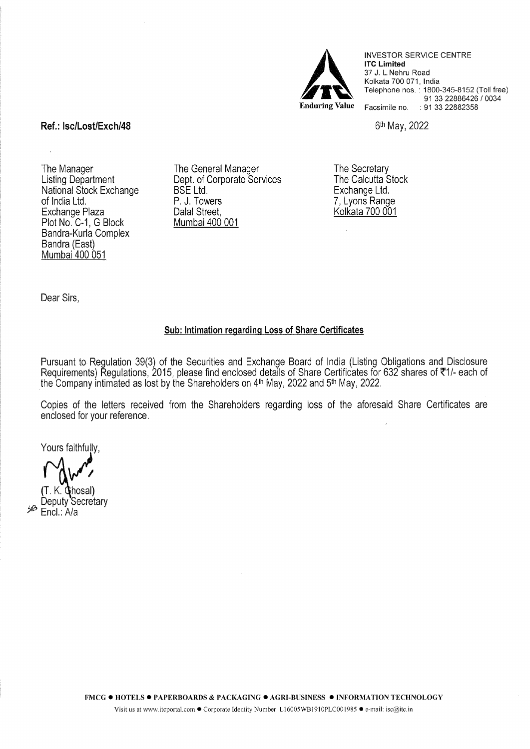

INVESTOR SERVICE CENTRE **lTC Limited**  37 J. L.Nehru Road Kolkata 700 071, India Telephone nos. : 1800-345-8152 (Toll free) 91 33 22886426 / 0034 Facsimile no. : 91 33 22882358

6th May, 2022

# **Ref.: lsc/Lost/Exch/48**

 $\ddot{\phantom{a}}$ 

The Manager Listing Department National Stock Exchange of India Ltd. Exchange Plaza Plot No. C-1, G Block Bandra-Kurla Complex Bandra (East) Mumbai 400 051

The General Manager Dept. of Corporate Services BSE Ltd. P. J. Towers Dalal Street, Mumbai 400 001

The Secretary The Calcutta Stock Exchange Ltd. 7, Lyons Range Kolkata 700 001

Dear Sirs,

## **Sub: Intimation regarding Loss of Share Certificates**

Pursuant to Regulation 39(3) of the Securities and Exchange Board of India (Listing Obligations and Disclosure Procedurements) Regulations, 2015, please find enclosed details of Share Certificates for 632 shares of ₹1/- each of the Company intimated as lost by the Shareholders on 4th May, 2022 and 5th May, 2022.

Copies of the letters received from the Shareholders regarding loss of the aforesaid Share Certificates are enclosed for your reference.

Yours faithfully,

T. K. Chosal)<br>Deputy Secretary<br><sup>A</sup> Fool LA/o Encl.: A/a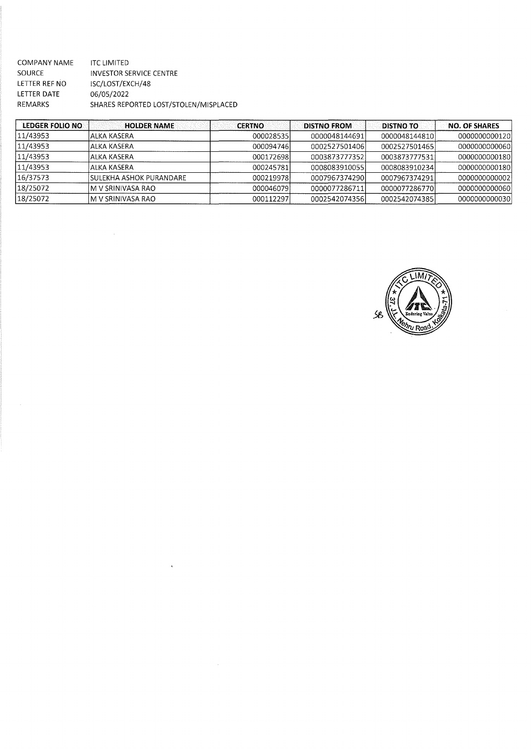| COMPANY NAME  | <b>ITC LIMITED</b>                    |
|---------------|---------------------------------------|
| <b>SOURCE</b> | INVESTOR SERVICE CENTRE               |
| LETTER REF NO | ISC/LOST/EXCH/48                      |
| LETTER DATE   | 06/05/2022                            |
| REMARKS       | SHARES REPORTED LOST/STOLEN/MISPLACED |

 $\mathcal{L}^{\text{max}}_{\text{max}}$ 

 $\langle \cdot, \cdot \rangle$ 

| LEDGER FOLIO NO | <b>HOLDER NAME</b>       | <b>CERTNO</b> | <b>DISTNO FROM</b> | <b>DISTNO TO</b> | <b>NO. OF SHARES</b> |
|-----------------|--------------------------|---------------|--------------------|------------------|----------------------|
| 11/43953        | lALKA KASERA             | 000028535     | 0000048144691      | 0000048144810    | 0000000000120        |
| 11/43953        | lalka KASERA             | 000094746     | 0002527501406      | 0002527501465    | 0000000000060        |
| 11/43953        | lALKA KASERA             | 000172698L    | 0003873777352      | 0003873777531    | 0000000000180        |
| 11/43953        | IALKA KASERA             | 000245781     | 0008083910055      | 0008083910234    | 0000000000180        |
| 16/37573        | ÍSULEKHA ASHOK PURANDARE | 000219978     | 00079673742901     | 0007967374291    | 0000000000002        |
| 18/25072        | IM V SRINIVASA RAO       | 000046079     | 0000077286711      | 0000077286770    | 0000000000060        |
| 18/25072        | IM V SRINIVASA RAO       | 000112297     | 0002542074356      | 0002542074385    | 0000000000030        |

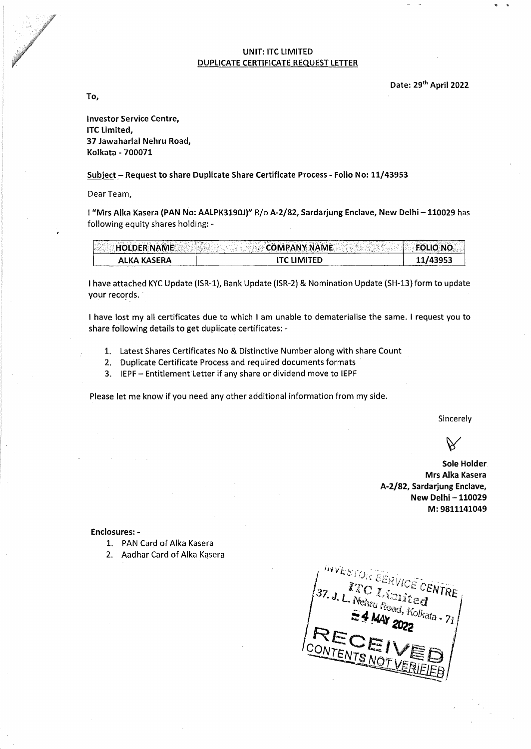## UNIT: ITC LIMITED DUPLICATE CERTIFICATE REQUEST LETTER

Date: 29<sup>th</sup> April 2022

To,

Investor Service Centre, lTC limited, 37 Jawaharlal Nehru Road, Kolkata - 700071

#### Subject- Request to share Duplicate Share Certificate Process- Folio No: 11/43953

Dear Team,

I"Mrs Alka Kasera {PAN No: AALPK3190J)" R/o A-2/82, Sardarjung Enclave, New Delhi -110029 has following equity shares holding: -

| ALKA KASERA        | ITC HMITFD          | 11/43953        |
|--------------------|---------------------|-----------------|
| <b>HOLDER NAME</b> | <b>COMPANY NAME</b> | <b>FOLIO NO</b> |

I have attached KYC Update (ISR-1), Bank Update (ISR-2) & Nomination Update (SH-13) form to update your records.

I have lost my all certificates due to which I am unable to dematerialise the same. I request you to share following details to get duplicate certificates:-

- 1. latest Shares Certificates No & Distinctive Number along with share Count
- 2. Duplicate Certificate Process and required documents formats
- 3. IEPF Entitlement Letter if any share or dividend move to IEPF

Please let me know if you need any other additional information from my side.

Sincerely

Sole Holder Mrs Alka Kasera A-2/82, Sardarjung Enclave, New Delhi - 110029 M: 9811141049

Enclosures: -

- 1. PAN Card of Alka Kasera
- 2. Aadhar Card of Alka Kasera

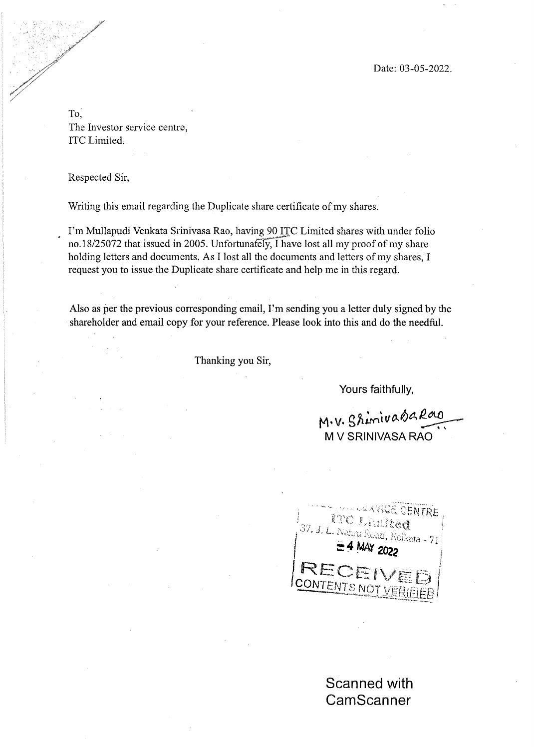Date: 03-05-2022.

To, The Investor service centre, lTC Limited.

Respected Sir,

Writing this email regarding the Duplicate share certificate of my shares.

I'm Mullapudi Venkata Srinivasa Rao, having 90 ITC Limited shares with under folio no.18/25072 that issued in 2005. Unfortunately, I have lost all my proof of my share holding letters and documents. As I lost all the documents and letters of my shares, I request you to issue the Duplicate share certificate and help me in this regard.

Also as per the previous corresponding email, I'm sending you a letter duly signed by the shareholder and email copy for your reference. Please look into this and do the needful.

Thanking you Sir,

Yours faithfully,

M. V. Shimivasa Rao M V SRINIVASA RAO



Scanned with **CamScanner**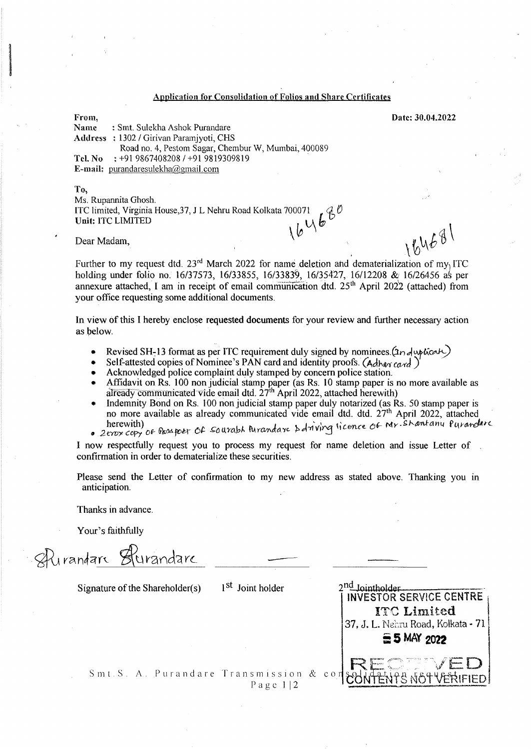### Application for Consolidation of Folios and Share Certificates

: Smt. Sulekha Ashok Purandare

Date: 30.04.2022

Name Address : 1302 I Girivan Paramjyoti, CHS Road no. 4, Pestom Sagar, Chembur W, Mumbai, 400089

Tel. No  $: +919867408208 / +919819309819$ 

E-mail: purandaresulekha@gmail. com

To, Ms. Rupannita Ghosh. ITC limited, Virginia House,37, J L Nehru Road Kolkata 700071<br>Unit: ITC LIMITED  $\mathcal{L}^{\mathfrak{G}^{\nu}}$ 

Dear Madam,  $\sqrt{\nu}$  and  $\sqrt{\nu}$  and  $\sqrt{\nu}$   $\sqrt{\nu}$   $\sqrt{\nu}$   $\sqrt{\nu}$   $\sqrt{\nu}$   $\sqrt{\nu}$   $\sqrt{\nu}$   $\sqrt{\nu}$   $\sqrt{\nu}$   $\sqrt{\nu}$   $\sqrt{\nu}$   $\sqrt{\nu}$   $\sqrt{\nu}$   $\sqrt{\nu}$   $\sqrt{\nu}$   $\sqrt{\nu}$   $\sqrt{\nu}$   $\sqrt{\nu}$   $\sqrt{\nu}$   $\sqrt{\nu}$   $\sqrt{\nu}$   $\sqrt{\nu}$   $\sqrt{\nu}$ 

From,

**International Control Control**<br>International Control<br>International Control Control Control Control Control Control Control Control Control Control Control Control<br>International Control Control Control Control Control Cont

Further to my request dtd. 23<sup>rd</sup> March 2022 for name deletion and dematerialization of my ITC holding under folio no. 16/37573, 16/33855, 16/33839, 16/35427, 16/12208 & 16/26456 as per annexure attached, I am in receipt of email communication dtd. 25<sup>th</sup> April 2022 (attached) from your office requesting some additional documents.

In view of this I hereby enclose requested documents for your review and further necessary action as below.

- Revised SH-13 format as per ITC requirement duly signed by nominees. $(2n \lambda \psi_0 \omega)$
- Self-attested copies of Nominee's PAN card and identity proofs. (Adhas card)
- Acknowledged police complaint duly stamped by concern police station.
- Affidavit on Rs. 100 nonjudicial stamp paper (as Rs. 10 stamp paper is no more available as already communicated vide email dtd.  $27<sup>th</sup>$  April 2022, attached herewith)
- Indemnity Bond on Rs. 100 nonjudicial stamp paper duly notarized (as Rs. 50 stamp paper is no more available as already communicated vide email dtd. dtd. 27<sup>th</sup> April 2022, attached iterewith)<br>a zerox copy of Passpoer Of Sourabh Purandare & driving licence of My. Shantany Purandare
- 

I now respectfully request you to process my request for name deletion and issue Letter of confirmation in order to dematerialize these securities.

Please send the Letter of confirmation to my new address as stated above. Thanking you in anticipation.

Thanks in advance.

Your's faithfully

 $\mathcal{A}$ urandarc  $\mathcal{B}$ turandarc

Signature of the Shareholder(s)  $\qquad$  1<sup>St</sup> Joint holder

| INVESTOR SERVICE CENTRE            |
|------------------------------------|
| <b>ITC Limited</b>                 |
| 37, J. L. Nehru Road, Kolkata - 71 |
| <b>∈5 MAY 2022</b>                 |
|                                    |
|                                    |

Smt.S. A. Purandare Transmission & co Page  $1/2$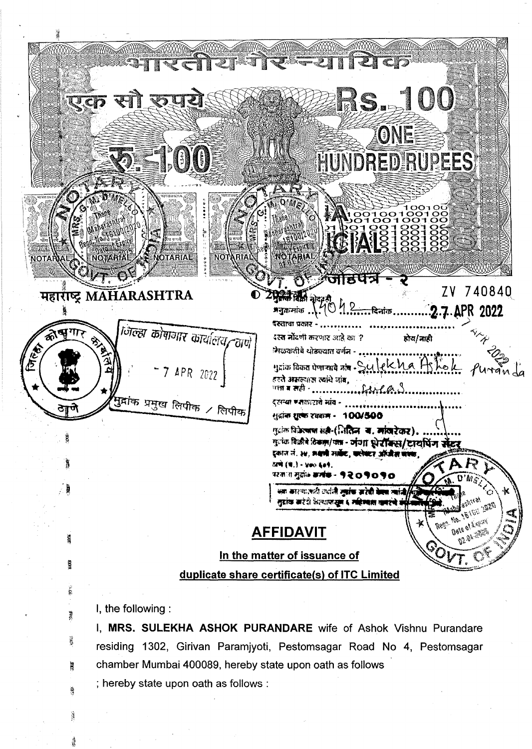**S. 100** एक सा  $\sqrt{2}$ ONE 2 ,00 **HUNDRED RUPEES** 6 **NOTARIAL** NOTARIA हर्र ~~fT;~'A ·. ;i: . zv 7 40840. . 1"tjf}~ *tA* 2. . . . ADR ,,, ~q; .. \:-t :l ....... ~-.IC6 ........... 2•f·~ . 201.1. ~ ~.. / .. . . .. . . . .. . . ···~··· ..... ....... ..... - महारीष्ट्र MAHARASHTRA - *rJ;-c:rgr {}Jfrtwln'* :T.;, *<sup>r</sup>* 不可 ~~ -.ifu~ ~~R ~ em ? ~f;n-l.t *-v,.,..\_.jJ*  ~ ~ . LEAT . '" "'•-llriJ/U) l fel A ß '·~~~=~~·~· 1 ~!-i .. t;LZ~··f\~t·[ .•••••..••.. r.rL...... fu.~~ ~ ~ ~ JmF'-ff~ ~ otiw. . ... i . · *-7APR zonj*  <sup>ा</sup>सा ब सही - <sub>....</sub> \* a•oa••••••••··~~·~•••••••••••••• ~~~/~  $\frac{1}{2}$   $\frac{1}{2}$   $\frac{1}{2}$   $\frac{1}{2}$   $\frac{1}{2}$   $\frac{1}{2}$   $\frac{1}{2}$   $\frac{1}{2}$   $\frac{1}{2}$   $\frac{1}{2}$   $\frac{1}{2}$   $\frac{1}{2}$   $\frac{1}{2}$   $\frac{1}{2}$   $\frac{1}{2}$   $\frac{1}{2}$   $\frac{1}{2}$   $\frac{1}{2}$   $\frac{1}{2}$   $\frac{1}{2}$   $\frac{1}{2}$   $\frac{1}{2}$  गुद्रांक विकेत्याण सती-(लितिज्ञ- य. मांखरेकर). ·~ मुलक विज्ञीने ठिकल/पत्र - जंगा धेरॉक्स/टायपिंग सेंटर इकाल लं. ३४, अ**थर्मी गावेंट, करोबटर ऑफीस बारक** टाणे (ष.) - ४०० ६०१. परवास मुक्षेत्र **अलंक - १२०१०१०** क्या कारणात्मती उपनि जारंक जारेकी बेमस त्यांजी/ **955,1581** नुद्रांक सारंदी केल्यापासून ६ महिल्याल खबरुंचे र **Bete of Arguan**<br>**Bete of Arguan** AFFIDAVIT 412.9h 1132 In the matter of issuance of Ş duplicate share certificate(s) of lTC Limited

I, the following :

I, MRS. SULEKHA ASHOK PURANDARE wife of Ashok Vishnu Purandare residing 1302, Girivan Paramjyoti, Pestomsagar Road No 4, Pestomsagar chamber Mumbai 400089, hereby state upon oath as follows

; hereby state upon oath as follows :

**B** 

鳳